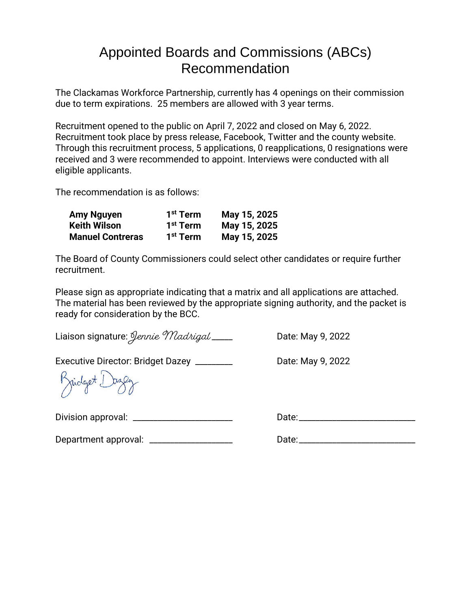## Appointed Boards and Commissions (ABCs) Recommendation

The Clackamas Workforce Partnership, currently has 4 openings on their commission due to term expirations. 25 members are allowed with 3 year terms.

Recruitment opened to the public on April 7, 2022 and closed on May 6, 2022. Recruitment took place by press release, Facebook, Twitter and the county website. Through this recruitment process, 5 applications, 0 reapplications, 0 resignations were received and 3 were recommended to appoint. Interviews were conducted with all eligible applicants.

The recommendation is as follows:

| <b>Amy Nguyen</b>       | 1 <sup>st</sup> Term | May 15, 2025 |
|-------------------------|----------------------|--------------|
| Keith Wilson            | 1 <sup>st</sup> Term | May 15, 2025 |
| <b>Manuel Contreras</b> | 1 <sup>st</sup> Term | May 15, 2025 |

The Board of County Commissioners could select other candidates or require further recruitment.

Please sign as appropriate indicating that a matrix and all applications are attached. The material has been reviewed by the appropriate signing authority, and the packet is ready for consideration by the BCC.

Liaison signature: *Jennie Madrigal* \_\_\_\_ Date: May 9, 2022

Executive Director: Bridget Dazey \_\_\_\_\_\_\_\_\_\_\_\_ Date: May 9, 2022

Kridget L

Division approval: \_\_\_\_\_\_\_\_\_\_\_\_\_\_\_\_\_\_\_\_\_\_\_\_ Date:\_\_\_\_\_\_\_\_\_\_\_\_\_\_\_\_\_\_\_\_\_\_\_\_\_\_\_\_

Department approval: \_\_\_\_\_\_\_\_\_\_\_\_\_\_\_\_\_\_\_\_ Date:\_\_\_\_\_\_\_\_\_\_\_\_\_\_\_\_\_\_\_\_\_\_\_\_\_\_\_\_